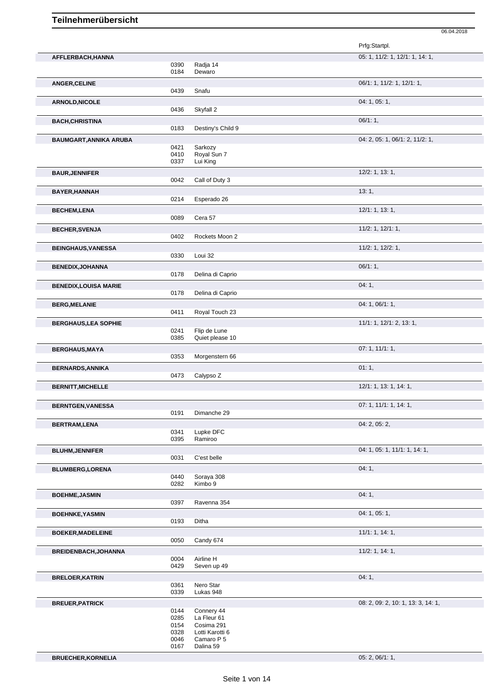|                               |              |                           | Prfg:Startpl.                      |
|-------------------------------|--------------|---------------------------|------------------------------------|
| AFFLERBACH, HANNA             |              |                           | 05: 1, 11/2: 1, 12/1: 1, 14: 1,    |
|                               | 0390         | Radja 14                  |                                    |
|                               | 0184         | Dewaro                    |                                    |
| <b>ANGER, CELINE</b>          |              |                           | 06/1: 1, 11/2: 1, 12/1: 1,         |
|                               | 0439         | Snafu                     |                                    |
| <b>ARNOLD, NICOLE</b>         |              |                           | 04: 1, 05: 1,                      |
|                               | 0436         | Skyfall 2                 |                                    |
| <b>BACH, CHRISTINA</b>        |              |                           | 06/1:1,                            |
|                               | 0183         | Destiny's Child 9         |                                    |
| <b>BAUMGART, ANNIKA ARUBA</b> |              |                           | 04: 2, 05: 1, 06/1: 2, 11/2: 1,    |
|                               | 0421         | Sarkozy                   |                                    |
|                               | 0410         | Royal Sun 7               |                                    |
|                               | 0337         | Lui King                  |                                    |
| <b>BAUR, JENNIFER</b>         |              |                           | $12/2$ : 1, 13: 1,                 |
|                               | 0042         | Call of Duty 3            |                                    |
| BAYER, HANNAH                 |              |                           | 13:1,                              |
|                               | 0214         | Esperado 26               |                                    |
| <b>BECHEM,LENA</b>            |              |                           | 12/1: 1, 13: 1,                    |
|                               | 0089         | Cera 57                   |                                    |
|                               |              |                           |                                    |
| <b>BECHER, SVENJA</b>         | 0402         | Rockets Moon 2            | $11/2$ : 1, $12/1$ : 1,            |
|                               |              |                           |                                    |
| <b>BEINGHAUS, VANESSA</b>     |              |                           | 11/2: 1, 12/2: 1,                  |
|                               | 0330         | Loui 32                   |                                    |
| <b>BENEDIX, JOHANNA</b>       |              |                           | 06/1:1,                            |
|                               | 0178         | Delina di Caprio          |                                    |
| <b>BENEDIX,LOUISA MARIE</b>   |              |                           | 04:1,                              |
|                               | 0178         | Delina di Caprio          |                                    |
| <b>BERG, MELANIE</b>          |              |                           | 04: 1, 06/1: 1,                    |
|                               | 0411         | Royal Touch 23            |                                    |
| <b>BERGHAUS, LEA SOPHIE</b>   |              |                           | 11/1: 1, 12/1: 2, 13: 1,           |
|                               | 0241         | Flip de Lune              |                                    |
|                               | 0385         | Quiet please 10           |                                    |
| <b>BERGHAUS, MAYA</b>         |              |                           | 07: 1, 11/1: 1,                    |
|                               | 0353         | Morgenstern 66            |                                    |
| <b>BERNARDS, ANNIKA</b>       |              |                           | 01:1,                              |
|                               | 0473         | Calypso Z                 |                                    |
| <b>BERNITT, MICHELLE</b>      |              |                           | 12/1: 1, 13: 1, 14: 1,             |
|                               |              |                           |                                    |
| <b>BERNTGEN, VANESSA</b>      |              |                           | 07: 1, 11/1: 1, 14: 1,             |
|                               | 0191         | Dimanche 29               |                                    |
|                               |              |                           | 04: 2, 05: 2,                      |
| <b>BERTRAM,LENA</b>           | 0341         | Lupke DFC                 |                                    |
|                               | 0395         | Ramiroo                   |                                    |
| <b>BLUHM, JENNIFER</b>        |              |                           | 04: 1, 05: 1, 11/1: 1, 14: 1,      |
|                               | 0031         | C'est belle               |                                    |
| <b>BLUMBERG,LORENA</b>        |              |                           | 04:1,                              |
|                               | 0440         | Soraya 308                |                                    |
|                               | 0282         | Kimbo 9                   |                                    |
| <b>BOEHME, JASMIN</b>         |              |                           | 04:1,                              |
|                               | 0397         | Ravenna 354               |                                    |
| <b>BOEHNKE, YASMIN</b>        |              |                           | 04: 1, 05: 1,                      |
|                               | 0193         | Ditha                     |                                    |
|                               |              |                           |                                    |
| <b>BOEKER, MADELEINE</b>      | 0050         | Candy 674                 | 11/1: 1, 14: 1,                    |
|                               |              |                           |                                    |
| BREIDENBACH, JOHANNA          |              |                           | 11/2: 1, 14: 1,                    |
|                               | 0004<br>0429 | Airline H<br>Seven up 49  |                                    |
|                               |              |                           |                                    |
| <b>BRELOER, KATRIN</b>        |              |                           | 04:1,                              |
|                               | 0361<br>0339 | Nero Star<br>Lukas 948    |                                    |
|                               |              |                           |                                    |
| <b>BREUER, PATRICK</b>        |              |                           | 08: 2, 09: 2, 10: 1, 13: 3, 14: 1, |
|                               | 0144<br>0285 | Connery 44<br>La Fleur 61 |                                    |
|                               | 0154         | Cosima 291                |                                    |

**BRUECHER,KORNELIA** 05: 2, 06/1: 1,

06.04.2018

0328 Lotti Karotti 6 0046 Camaro P 5 0167 Dalina 59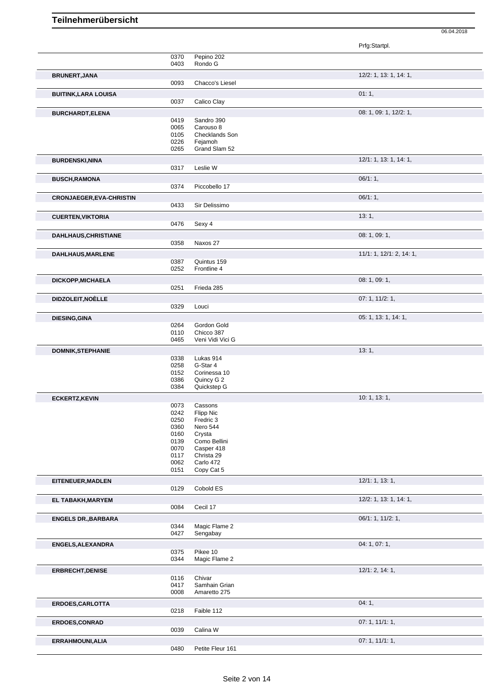|                                 |              |                            | Prfg:Startpl.            |
|---------------------------------|--------------|----------------------------|--------------------------|
|                                 | 0370         | Pepino 202                 |                          |
|                                 | 0403         | Rondo G                    |                          |
| <b>BRUNERT, JANA</b>            |              |                            | 12/2: 1, 13: 1, 14: 1,   |
|                                 | 0093         | Chacco's Liesel            |                          |
| <b>BUITINK, LARA LOUISA</b>     |              |                            | 01:1,                    |
|                                 | 0037         | Calico Clay                |                          |
| <b>BURCHARDT,ELENA</b>          |              |                            | 08: 1, 09: 1, 12/2: 1,   |
|                                 | 0419         | Sandro 390                 |                          |
|                                 | 0065         | Carouso 8                  |                          |
|                                 | 0105         | Checklands Son             |                          |
|                                 | 0226<br>0265 | Fejamoh<br>Grand Slam 52   |                          |
|                                 |              |                            |                          |
| <b>BURDENSKI, NINA</b>          |              |                            | 12/1: 1, 13: 1, 14: 1,   |
|                                 | 0317         | Leslie W                   |                          |
| <b>BUSCH, RAMONA</b>            |              |                            | 06/1:1,                  |
|                                 | 0374         | Piccobello 17              |                          |
| <b>CRONJAEGER, EVA-CHRISTIN</b> |              |                            | 06/1:1,                  |
|                                 | 0433         | Sir Delissimo              |                          |
| <b>CUERTEN, VIKTORIA</b>        |              |                            | 13:1,                    |
|                                 | 0476         | Sexy 4                     |                          |
| <b>DAHLHAUS, CHRISTIANE</b>     |              |                            | 08: 1, 09: 1,            |
|                                 | 0358         | Naxos 27                   |                          |
| DAHLHAUS, MARLENE               |              |                            | 11/1: 1, 12/1: 2, 14: 1, |
|                                 | 0387         | Quintus 159                |                          |
|                                 | 0252         | Frontline 4                |                          |
| DICKOPP, MICHAELA               |              |                            | 08: 1, 09: 1,            |
|                                 | 0251         | Frieda 285                 |                          |
| DIDZOLEIT, NOÈLLE               |              |                            | 07: 1, 11/2: 1,          |
|                                 | 0329         | Louci                      |                          |
| <b>DIESING, GINA</b>            |              |                            | 05: 1, 13: 1, 14: 1,     |
|                                 | 0264         | Gordon Gold                |                          |
|                                 | 0110         | Chicco 387                 |                          |
|                                 | 0465         | Veni Vidi Vici G           |                          |
| <b>DOMNIK, STEPHANIE</b>        |              |                            | 13:1,                    |
|                                 | 0338         | Lukas 914                  |                          |
|                                 | 0258         | G-Star 4                   |                          |
|                                 | 0152<br>0386 | Corinessa 10<br>Quincy G 2 |                          |
|                                 | 0384         | Quickstep G                |                          |
| <b>ECKERTZ, KEVIN</b>           |              |                            | 10: 1, 13: 1,            |
|                                 | 0073         | Cassons                    |                          |
|                                 | 0242         | <b>Hipp Nic</b>            |                          |
|                                 | 0250         | Fredric 3                  |                          |
|                                 | 0360         | Nero 544                   |                          |
|                                 | 0160         | Crysta                     |                          |
|                                 | 0139<br>0070 | Como Bellini<br>Casper 418 |                          |
|                                 | 0117         | Christa 29                 |                          |
|                                 | 0062         | Carlo 472                  |                          |
|                                 | 0151         | Copy Cat 5                 |                          |
| EITENEUER, MADLEN               |              |                            | 12/1: 1, 13: 1,          |
|                                 | 0129         | Cobold ES                  |                          |
| EL TABAKH, MARYEM               |              |                            | 12/2: 1, 13: 1, 14: 1,   |
|                                 | 0084         | Cecil 17                   |                          |
| <b>ENGELS DR., BARBARA</b>      |              |                            | 06/1: 1, 11/2: 1,        |
|                                 | 0344         | Magic Flame 2              |                          |
|                                 | 0427         | Sengabay                   |                          |
| ENGELS, ALEXANDRA               |              |                            | 04: 1, 07: 1,            |
|                                 | 0375         | Pikee 10                   |                          |
|                                 | 0344         | Magic Flame 2              |                          |
| ERBRECHT, DENISE                |              |                            | 12/1: 2, 14: 1,          |
|                                 | 0116         | Chivar                     |                          |
|                                 | 0417         | Samhain Grian              |                          |
|                                 | 0008         | Amaretto 275               |                          |
| ERDOES, CARLOTTA                |              |                            | 04:1,                    |
|                                 | 0218         | Faible 112                 |                          |
| <b>ERDOES,CONRAD</b>            |              |                            | 07:1, 11/1:1,            |
|                                 | 0039         | Calina W                   |                          |
| ERRAHMOUNI, ALIA                |              |                            | 07: 1, 11/1: 1,          |
|                                 | 0480         | Petite Fleur 161           |                          |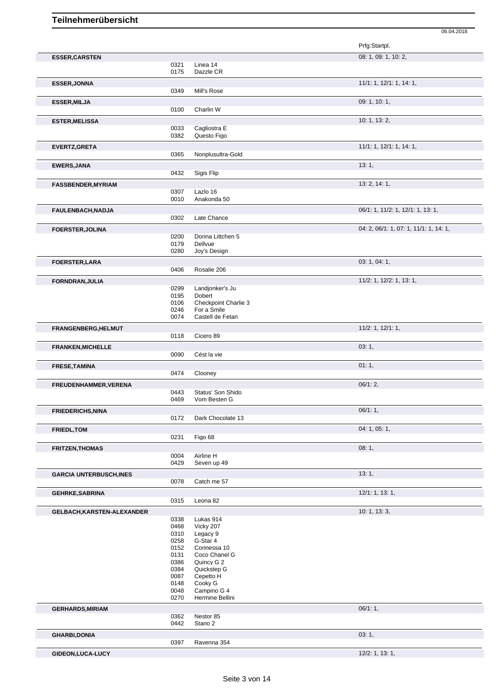|                                                                                                           |              |                                     | Prfg:Startpl.                          |
|-----------------------------------------------------------------------------------------------------------|--------------|-------------------------------------|----------------------------------------|
| <b>ESSER, CARSTEN</b>                                                                                     |              |                                     | 08: 1, 09: 1, 10: 2,                   |
|                                                                                                           | 0321         | Linea 14                            |                                        |
|                                                                                                           | 0175         | Dazzle CR                           |                                        |
| <b>ESSER, JONNA</b>                                                                                       |              |                                     | 11/1: 1, 12/1: 1, 14: 1,               |
|                                                                                                           | 0349         | Mill's Rose                         |                                        |
| <b>ESSER, MILJA</b>                                                                                       |              |                                     | 09: 1, 10: 1,                          |
|                                                                                                           | 0100         | Charlin W                           |                                        |
|                                                                                                           |              |                                     |                                        |
| <b>ESTER, MELISSA</b>                                                                                     | 0033         | Cagliostra E                        | 10: 1, 13: 2,                          |
|                                                                                                           | 0382         | Questo Figo                         |                                        |
|                                                                                                           |              |                                     |                                        |
| EVERTZ, GRETA                                                                                             | 0365         | Nonplusultra-Gold                   | 11/1: 1, 12/1: 1, 14: 1,               |
|                                                                                                           |              |                                     |                                        |
| <b>EWERS, JANA</b>                                                                                        |              |                                     | 13:1,                                  |
|                                                                                                           | 0432         | Sigis Flip                          |                                        |
| <b>FASSBENDER, MYRIAM</b>                                                                                 |              |                                     | 13: 2, 14: 1,                          |
|                                                                                                           | 0307         | Lazlo 16                            |                                        |
|                                                                                                           | 0010         | Anakonda 50                         |                                        |
| FAULENBACH, NADJA                                                                                         |              |                                     | 06/1: 1, 11/2: 1, 12/1: 1, 13: 1,      |
|                                                                                                           | 0302         | Late Chance                         |                                        |
| <b>FOERSTER, JOLINA</b>                                                                                   |              |                                     | 04: 2, 06/1: 1, 07: 1, 11/1: 1, 14: 1, |
|                                                                                                           | 0200         | Donna Littchen 5                    |                                        |
|                                                                                                           | 0179         | Dellvue                             |                                        |
|                                                                                                           | 0280         | Joy's Design                        |                                        |
| <b>FOERSTER, LARA</b>                                                                                     |              |                                     | 03: 1, 04: 1,                          |
|                                                                                                           | 0406         | Rosalie 206                         |                                        |
| <b>FORNDRAN, JULIA</b>                                                                                    |              |                                     | 11/2: 1, 12/2: 1, 13: 1,               |
|                                                                                                           | 0299         | Landjonker's Ju                     |                                        |
|                                                                                                           | 0195         | Dobert                              |                                        |
|                                                                                                           | 0106<br>0246 | Checkpoint Charlie 3<br>For a Smile |                                        |
|                                                                                                           | 0074         | Castell de Fetan                    |                                        |
|                                                                                                           |              |                                     | $11/2$ : 1, $12/1$ : 1,                |
| FRANGENBERG, HELMUT                                                                                       | 0118         | Cicero 89                           |                                        |
|                                                                                                           |              |                                     |                                        |
| <b>FRANKEN, MICHELLE</b>                                                                                  | 0090         | Cést la vie                         | 03:1,                                  |
|                                                                                                           |              |                                     |                                        |
| <b>FRESE, TAMINA</b>                                                                                      |              |                                     | 01:1,                                  |
|                                                                                                           | 0474         | Clooney                             |                                        |
|                                                                                                           |              |                                     |                                        |
|                                                                                                           |              |                                     | $06/1:2$ ,                             |
|                                                                                                           | 0443         | Status' Son Shido                   |                                        |
|                                                                                                           | 0469         | Vom Besten G                        |                                        |
| FREUDENHAMMER, VERENA<br><b>FRIEDERICHS, NINA</b>                                                         |              |                                     | 06/1:1,                                |
|                                                                                                           | 0172         | Dark Chocolate 13                   |                                        |
|                                                                                                           |              |                                     | 04: 1, 05: 1,                          |
| <b>FRIEDL, TOM</b>                                                                                        | 0231         | Figo 68                             |                                        |
|                                                                                                           |              |                                     | 08:1,                                  |
|                                                                                                           | 0004         | Airline H                           |                                        |
|                                                                                                           | 0429         | Seven up 49                         |                                        |
|                                                                                                           |              |                                     | 13:1,                                  |
|                                                                                                           | 0078         | Catch me 57                         |                                        |
| <b>GARCIA UNTERBUSCH, INES</b>                                                                            |              |                                     |                                        |
|                                                                                                           | 0315         | Leona 82                            | 12/1: 1, 13: 1,                        |
|                                                                                                           |              |                                     |                                        |
|                                                                                                           |              |                                     | 10: 1, 13: 3,                          |
|                                                                                                           | 0338         | Lukas 914                           |                                        |
|                                                                                                           | 0468<br>0310 | Vicky 207<br>Legacy 9               |                                        |
|                                                                                                           | 0258         | G-Star 4                            |                                        |
|                                                                                                           | 0152         | Corinessa 10                        |                                        |
|                                                                                                           | 0131         | Coco Chanel G                       |                                        |
|                                                                                                           | 0386<br>0384 | Quincy G 2<br>Quickstep G           |                                        |
|                                                                                                           | 0087         | Cepetto H                           |                                        |
|                                                                                                           | 0148         | Cooky G                             |                                        |
|                                                                                                           | 0048         | Campino G 4                         |                                        |
|                                                                                                           | 0270         | Hermine Bellini                     |                                        |
|                                                                                                           |              |                                     | 06/1:1,                                |
|                                                                                                           | 0362         | Nestor 85                           |                                        |
| <b>FRITZEN, THOMAS</b><br><b>GEHRKE, SABRINA</b><br>GELBACH, KARSTEN-ALEXANDER<br><b>GERHARDS, MIRIAM</b> | 0442         | Stano 2                             |                                        |
| <b>GHARBI,DONIA</b>                                                                                       |              |                                     | 03:1,                                  |
|                                                                                                           | 0397         | Ravenna 354                         | $12/2$ : 1, 13: 1,                     |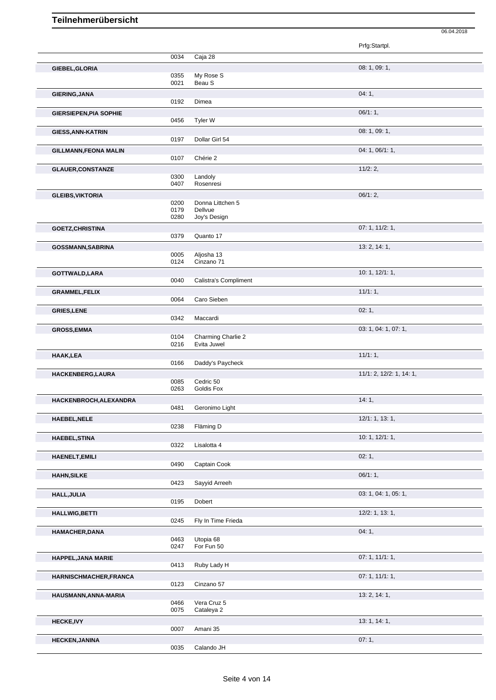|                               |              |                              | Prfg:Startpl.            |
|-------------------------------|--------------|------------------------------|--------------------------|
|                               |              |                              |                          |
|                               | 0034         | Caja 28                      |                          |
| GIEBEL, GLORIA                |              |                              | 08: 1, 09: 1,            |
|                               | 0355<br>0021 | My Rose S<br>Beau S          |                          |
| <b>GIERING, JANA</b>          |              |                              | 04:1,                    |
|                               | 0192         | Dimea                        |                          |
| <b>GIERSIEPEN, PIA SOPHIE</b> |              |                              | 06/1:1,                  |
|                               | 0456         | Tyler W                      |                          |
| <b>GIESS, ANN-KATRIN</b>      |              |                              | 08: 1, 09: 1,            |
|                               | 0197         | Dollar Girl 54               |                          |
| <b>GILLMANN, FEONA MALIN</b>  |              |                              | 04: 1, 06/1: 1,          |
|                               | 0107         | Chérie 2                     |                          |
| <b>GLAUER, CONSTANZE</b>      |              |                              | 11/2:2,                  |
|                               | 0300         | Landoly                      |                          |
|                               | 0407         | Rosenresi                    |                          |
| <b>GLEIBS, VIKTORIA</b>       |              |                              | 06/1:2,                  |
|                               | 0200         | Donna Littchen 5             |                          |
|                               | 0179<br>0280 | Dellvue<br>Joy's Design      |                          |
|                               |              |                              | 07: 1, 11/2: 1,          |
| <b>GOETZ, CHRISTINA</b>       | 0379         | Quanto 17                    |                          |
| <b>GOSSMANN, SABRINA</b>      |              |                              | 13: 2, 14: 1,            |
|                               | 0005         | Aljosha 13                   |                          |
|                               | 0124         | Cinzano 71                   |                          |
| GOTTWALD, LARA                |              |                              | 10: 1, 12/1: 1,          |
|                               | 0040         | <b>Calistra's Compliment</b> |                          |
| <b>GRAMMEL,FELIX</b>          |              |                              | 11/1:1,                  |
|                               | 0064         | Caro Sieben                  |                          |
| <b>GRIES, LENE</b>            |              |                              | 02:1,                    |
|                               | 0342         | Maccardi                     |                          |
| <b>GROSS, EMMA</b>            |              |                              | 03: 1, 04: 1, 07: 1,     |
|                               | 0104         | Charming Charlie 2           |                          |
|                               | 0216         | Evita Juwel                  |                          |
| HAAK, LEA                     |              |                              | 11/1:1,                  |
|                               | 0166         | Daddy's Paycheck             |                          |
| HACKENBERG, LAURA             | 0085         | Cedric 50                    | 11/1: 2, 12/2: 1, 14: 1, |
|                               | 0263         | Goldis Fox                   |                          |
| HACKENBROCH, ALEXANDRA        |              |                              | 14:1,                    |
|                               | 0481         | Geronimo Light               |                          |
| <b>HAEBEL, NELE</b>           |              |                              | 12/1: 1, 13: 1,          |
|                               | 0238         | Fläming D                    |                          |
| <b>HAEBEL, STINA</b>          |              |                              | 10: 1, 12/1: 1,          |
|                               | 0322         | Lisalotta 4                  |                          |
| <b>HAENELT, EMILI</b>         |              |                              | 02:1,                    |
|                               | 0490         | Captain Cook                 |                          |
| <b>HAHN, SILKE</b>            |              |                              | 06/1:1,                  |
|                               | 0423         | Sayyid Arreeh                |                          |
| HALL, JULIA                   |              |                              | 03: 1, 04: 1, 05: 1,     |
|                               | 0195         | Dobert                       |                          |
| <b>HALLWIG, BETTI</b>         |              |                              | 12/2: 1, 13: 1,          |
|                               | 0245         | Fly In Time Frieda           |                          |
| HAMACHER, DANA                |              |                              | 04:1,                    |
|                               | 0463<br>0247 | Utopia 68<br>For Fun 50      |                          |
|                               |              |                              |                          |
| HAPPEL, JANA MARIE            | 0413         | Ruby Lady H                  | 07:1, 11/1:1,            |
|                               |              |                              | 07:1, 11/1:1,            |
| HARNISCHMACHER, FRANCA        | 0123         | Cinzano 57                   |                          |
| HAUSMANN, ANNA-MARIA          |              |                              | 13: 2, 14: 1,            |
|                               | 0466         | Vera Cruz 5                  |                          |
|                               | 0075         | Cataleya 2                   |                          |
| <b>HECKE, IVY</b>             |              |                              | 13: 1, 14: 1,            |
|                               | 0007         | Amani 35                     |                          |
| <b>HECKEN, JANINA</b>         |              |                              | 07:1,                    |

06.04.2018

0035 Calando JH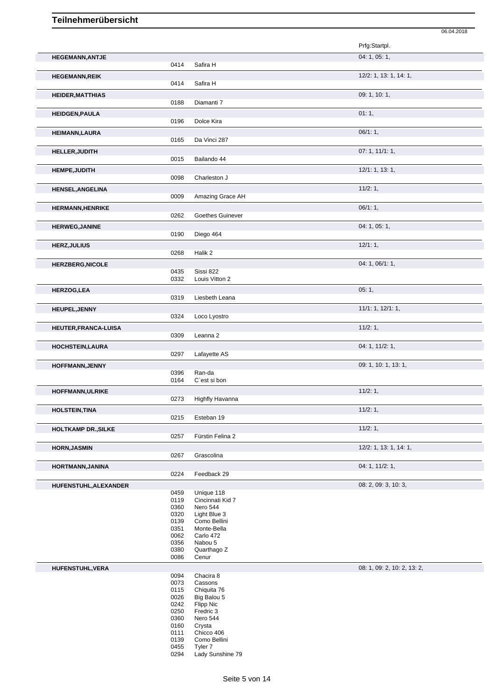|                            |              |                                | 06.04.2018                  |
|----------------------------|--------------|--------------------------------|-----------------------------|
|                            |              |                                | Prfg:Startpl.               |
| <b>HEGEMANN, ANTJE</b>     |              |                                | 04: 1, 05: 1,               |
|                            | 0414         | Safira H                       |                             |
| <b>HEGEMANN,REIK</b>       | 0414         | Safira H                       | 12/2: 1, 13: 1, 14: 1,      |
| <b>HEIDER, MATTHIAS</b>    | 0188         | Diamanti 7                     | 09: 1, 10: 1,               |
| <b>HEIDGEN, PAULA</b>      |              |                                | 01:1,                       |
|                            | 0196         | Dolce Kira                     | 06/1:1,                     |
| <b>HEIMANN, LAURA</b>      | 0165         | Da Vinci 287                   |                             |
| HELLER, JUDITH             |              |                                | 07: 1, 11/1: 1,             |
|                            | 0015         | Bailando 44                    |                             |
| <b>HEMPE, JUDITH</b>       | 0098         | Charleston J                   | 12/1: 1, 13: 1,             |
| <b>HENSEL, ANGELINA</b>    |              |                                | 11/2:1,                     |
|                            | 0009         | Amazing Grace AH               |                             |
| <b>HERMANN, HENRIKE</b>    |              |                                | 06/1:1,                     |
|                            | 0262         | Goethes Guinever               |                             |
| <b>HERWEG, JANINE</b>      | 0190         | Diego 464                      | 04: 1, 05: 1,               |
| <b>HERZ, JULIUS</b>        |              |                                | 12/1:1,                     |
|                            | 0268         | Halik 2                        |                             |
| <b>HERZBERG, NICOLE</b>    |              |                                | 04: 1, 06/1: 1,             |
|                            | 0435<br>0332 | Sissi 822<br>Louis Vitton 2    |                             |
| <b>HERZOG,LEA</b>          |              |                                | 05:1,                       |
|                            | 0319         | Liesbeth Leana                 |                             |
| HEUPEL, JENNY              | 0324         | Loco Lyostro                   | 11/1: 1, 12/1: 1,           |
| HEUTER, FRANCA-LUISA       |              |                                | 11/2:1,                     |
|                            | 0309         | Leanna 2                       |                             |
| <b>HOCHSTEIN, LAURA</b>    |              |                                | 04: 1, 11/2: 1,             |
|                            | 0297         | Lafayette AS                   |                             |
| HOFFMANN, JENNY            | 0396         | Ran-da                         | 09: 1, 10: 1, 13: 1,        |
|                            | 0164         | C'est si bon                   |                             |
| HOFFMANN, ULRIKE           | 0273         | <b>Highfly Havanna</b>         | 11/2:1,                     |
|                            |              |                                |                             |
| <b>HOLSTEIN, TINA</b>      | 0215         | Esteban 19                     | 11/2:1,                     |
| <b>HOLTKAMP DR., SILKE</b> |              |                                | 11/2:1,                     |
|                            | 0257         | Fürstin Felina 2               |                             |
| <b>HORN, JASMIN</b>        | 0267         | Grascolina                     | 12/2: 1, 13: 1, 14: 1,      |
| HORTMANN, JANINA           |              |                                | 04: 1, 11/2: 1,             |
|                            | 0224         | Feedback 29                    |                             |
| HUFENSTUHL, ALEXANDER      |              |                                | 08: 2, 09: 3, 10: 3,        |
|                            | 0459<br>0119 | Unique 118<br>Cincinnati Kid 7 |                             |
|                            | 0360         | Nero 544                       |                             |
|                            | 0320         | Light Blue 3                   |                             |
|                            | 0139         | Como Bellini                   |                             |
|                            | 0351         | Monte-Bella                    |                             |
|                            | 0062         | Carlo 472                      |                             |
|                            | 0356         | Nabou 5                        |                             |
|                            | 0380<br>0086 | Quarthago Z<br>Cenur           |                             |
| HUFENSTUHL, VERA           |              |                                | 08: 1, 09: 2, 10: 2, 13: 2, |
|                            | 0094         | Chacira 8                      |                             |
|                            | 0073         | Cassons                        |                             |
|                            | 0115         | Chiquita 76                    |                             |
|                            | 0026         | Big Balou 5                    |                             |
|                            | 0242<br>0250 | Flipp Nic<br>Fredric 3         |                             |
|                            | 0360         | Nero 544                       |                             |
|                            | 0160         | Crysta                         |                             |
|                            | 0111         | Chicco 406                     |                             |
|                            | 0139         | Como Bellini                   |                             |

 Tyler 7 Lady Sunshine 79

Seite 5 von 14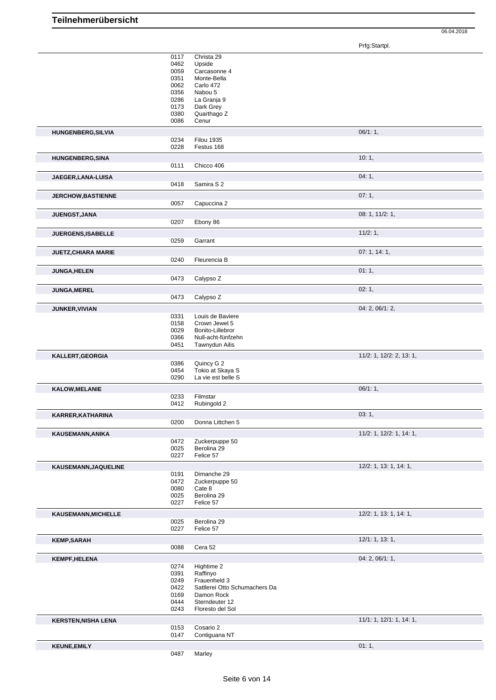06.04.2018

Prfg:Startpl.

|                            | 0117 | Christa 29                    |                          |
|----------------------------|------|-------------------------------|--------------------------|
|                            | 0462 | Upside                        |                          |
|                            | 0059 |                               |                          |
|                            |      | Carcasonne 4                  |                          |
|                            | 0351 | Monte-Bella                   |                          |
|                            | 0062 | Carlo 472                     |                          |
|                            | 0356 | Nabou 5                       |                          |
|                            | 0286 | La Granja 9                   |                          |
|                            | 0173 | Dark Grey                     |                          |
|                            |      |                               |                          |
|                            | 0380 | Quarthago Z                   |                          |
|                            | 0086 | Cenur                         |                          |
|                            |      |                               | 06/1:1,                  |
| HUNGENBERG, SILVIA         |      |                               |                          |
|                            | 0234 | <b>Filou 1935</b>             |                          |
|                            | 0228 | Festus 168                    |                          |
|                            |      |                               |                          |
| <b>HUNGENBERG, SINA</b>    |      |                               | 10:1,                    |
|                            | 0111 | Chicco 406                    |                          |
|                            |      |                               |                          |
| JAEGER, LANA-LUISA         |      |                               | 04:1,                    |
|                            | 0418 | Samira S 2                    |                          |
|                            |      |                               |                          |
| <b>JERCHOW, BASTIENNE</b>  |      |                               | 07:1,                    |
|                            | 0057 | Capuccina 2                   |                          |
|                            |      |                               |                          |
| JUENGST, JANA              |      |                               | 08: 1, 11/2: 1,          |
|                            | 0207 | Ebony 86                      |                          |
|                            |      |                               |                          |
| JUERGENS, ISABELLE         |      |                               | 11/2:1,                  |
|                            | 0259 | Garrant                       |                          |
|                            |      |                               |                          |
| <b>JUETZ, CHIARA MARIE</b> |      |                               | 07:1, 14:1,              |
|                            | 0240 | Fleurencia B                  |                          |
|                            |      |                               |                          |
| <b>JUNGA, HELEN</b>        |      |                               | 01:1,                    |
|                            | 0473 | Calypso Z                     |                          |
|                            |      |                               |                          |
| <b>JUNGA, MEREL</b>        |      |                               | 02:1,                    |
|                            | 0473 | Calypso Z                     |                          |
|                            |      |                               |                          |
| <b>JUNKER, VIVIAN</b>      |      |                               | 04: 2, 06/1: 2,          |
|                            | 0331 | Louis de Baviere              |                          |
|                            | 0158 | Crown Jewel 5                 |                          |
|                            | 0029 | Bonito-Lillebror              |                          |
|                            | 0366 | Null-acht-fünfzehn            |                          |
|                            |      |                               |                          |
|                            | 0451 | Tawnydun Ailis                |                          |
|                            |      |                               |                          |
|                            |      |                               |                          |
| KALLERT, GEORGIA           |      |                               | 11/2: 1, 12/2: 2, 13: 1, |
|                            | 0386 | Quincy G 2                    |                          |
|                            | 0454 | Tokio at Skaya S              |                          |
|                            | 0290 | La vie est belle S            |                          |
|                            |      |                               |                          |
| <b>KALOW, MELANIE</b>      |      |                               | 06/1:1,                  |
|                            | 0233 | Filmstar                      |                          |
|                            | 0412 | Rubingold 2                   |                          |
|                            |      |                               |                          |
| KARRER, KATHARINA          |      |                               | 03:1,                    |
|                            | 0200 | Donna Littchen 5              |                          |
|                            |      |                               |                          |
| KAUSEMANN, ANIKA           |      |                               | 11/2: 1, 12/2: 1, 14: 1, |
|                            | 0472 | Zuckerpuppe 50                |                          |
|                            |      |                               |                          |
|                            | 0025 | Berolina 29                   |                          |
|                            | 0227 | Felice 57                     |                          |
| KAUSEMANN, JAQUELINE       |      |                               | 12/2: 1, 13: 1, 14: 1,   |
|                            | 0191 | Dimanche 29                   |                          |
|                            |      |                               |                          |
|                            | 0472 | Zuckerpuppe 50                |                          |
|                            | 0080 | Cate 8                        |                          |
|                            | 0025 | Berolina 29                   |                          |
|                            | 0227 | Felice 57                     |                          |
|                            |      |                               |                          |
| KAUSEMANN, MICHELLE        |      |                               | 12/2: 1, 13: 1, 14: 1,   |
|                            | 0025 | Berolina 29                   |                          |
|                            | 0227 | Felice 57                     |                          |
|                            |      |                               |                          |
| <b>KEMP,SARAH</b>          |      |                               | 12/1: 1, 13: 1,          |
|                            | 0088 | Cera 52                       |                          |
|                            |      |                               |                          |
| <b>KEMPF, HELENA</b>       |      |                               | 04: 2, 06/1: 1,          |
|                            | 0274 | Hightime 2                    |                          |
|                            | 0391 | Raffinyo                      |                          |
|                            | 0249 | Frauenheld 3                  |                          |
|                            |      |                               |                          |
|                            | 0422 | Sattlerei Otto Schumachers Da |                          |
|                            | 0169 | Damon Rock                    |                          |
|                            | 0444 | Sterndeuter 12                |                          |
|                            | 0243 | Floresto del Sol              |                          |
|                            |      |                               |                          |
| <b>KERSTEN, NISHA LENA</b> |      |                               | 11/1: 1, 12/1: 1, 14: 1, |
|                            | 0153 | Cosario 2                     |                          |
|                            | 0147 | Contiguana NT                 |                          |
|                            |      |                               |                          |
| <b>KEUNE, EMILY</b>        | 0487 | Marley                        | 01:1,                    |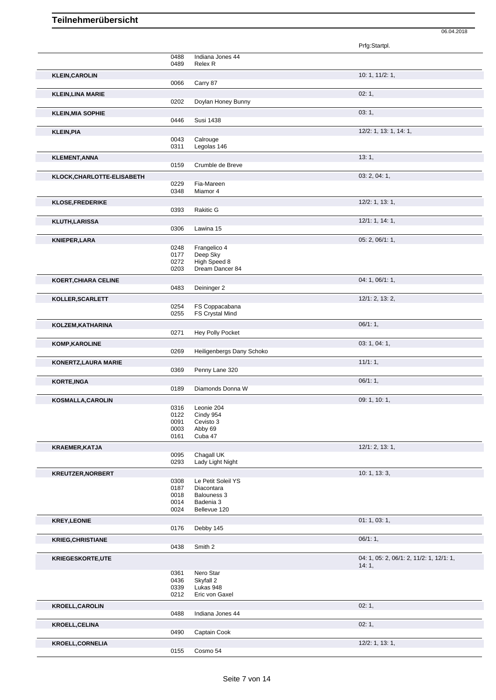|                             |              |                                   | Prfg:Startpl.                                     |
|-----------------------------|--------------|-----------------------------------|---------------------------------------------------|
|                             | 0488         | Indiana Jones 44                  |                                                   |
|                             | 0489         | Relex <sub>R</sub>                |                                                   |
| <b>KLEIN, CAROLIN</b>       | 0066         | Carry 87                          | 10: 1, 11/2: 1,                                   |
| <b>KLEIN, LINA MARIE</b>    |              |                                   | 02:1,                                             |
|                             | 0202         | Doylan Honey Bunny                |                                                   |
| <b>KLEIN, MIA SOPHIE</b>    | 0446         | <b>Susi 1438</b>                  | 03:1,                                             |
| <b>KLEIN, PIA</b>           |              |                                   | 12/2: 1, 13: 1, 14: 1,                            |
|                             | 0043         | Calrouge                          |                                                   |
|                             | 0311         | Legolas 146                       |                                                   |
| <b>KLEMENT, ANNA</b>        | 0159         | Crumble de Breve                  | 13:1,                                             |
|                             |              |                                   | 03: 2, 04: 1,                                     |
| KLOCK, CHARLOTTE-ELISABETH  | 0229         | Fia-Mareen                        |                                                   |
|                             | 0348         | Miamor 4                          |                                                   |
| <b>KLOSE, FREDERIKE</b>     |              |                                   | $12/2$ : 1, 13: 1,                                |
|                             | 0393         | <b>Rakitic G</b>                  |                                                   |
| <b>KLUTH,LARISSA</b>        | 0306         | Lawina 15                         | 12/1: 1, 14: 1,                                   |
| <b>KNIEPER, LARA</b>        |              |                                   | 05: 2, 06/1: 1,                                   |
|                             | 0248         | Frangelico 4                      |                                                   |
|                             | 0177<br>0272 | Deep Sky<br>High Speed 8          |                                                   |
|                             | 0203         | Dream Dancer 84                   |                                                   |
| <b>KOERT, CHIARA CELINE</b> |              |                                   | 04: 1, 06/1: 1,                                   |
|                             | 0483         | Deininger 2                       |                                                   |
| KOLLER, SCARLETT            |              |                                   | 12/1: 2, 13: 2,                                   |
|                             | 0254<br>0255 | FS Coppacabana<br>FS Crystal Mind |                                                   |
| KOLZEM, KATHARINA           |              |                                   | 06/1:1,                                           |
|                             | 0271         | Hey Polly Pocket                  |                                                   |
| <b>KOMP, KAROLINE</b>       |              |                                   | 03: 1, 04: 1,                                     |
|                             | 0269         | Heiligenbergs Dany Schoko         |                                                   |
| KONERTZ, LAURA MARIE        | 0369         | Penny Lane 320                    | 11/1:1,                                           |
| <b>KORTE, INGA</b>          |              |                                   | 06/1:1,                                           |
|                             | 0189         | Diamonds Donna W                  |                                                   |
| <b>KOSMALLA, CAROLIN</b>    |              |                                   | 09: 1, 10: 1,                                     |
|                             | 0316<br>0122 | Leonie 204<br>Cindy 954           |                                                   |
|                             | 0091         | Cevisto 3                         |                                                   |
|                             | 0003<br>0161 | Abby 69<br>Cuba 47                |                                                   |
| <b>KRAEMER, KATJA</b>       |              |                                   | 12/1: 2, 13: 1,                                   |
|                             | 0095         | Chagall UK                        |                                                   |
|                             | 0293         | Lady Light Night                  |                                                   |
| <b>KREUTZER, NORBERT</b>    | 0308         | Le Petit Soleil YS                | 10: 1, 13: 3,                                     |
|                             | 0187         | Diacontara                        |                                                   |
|                             | 0018<br>0014 | Balouness 3<br>Badenia 3          |                                                   |
|                             | 0024         | Bellevue 120                      |                                                   |
| <b>KREY, LEONIE</b>         |              |                                   | 01: 1, 03: 1,                                     |
|                             | 0176         | Debby 145                         |                                                   |
| <b>KRIEG, CHRISTIANE</b>    |              |                                   | 06/1:1,                                           |
|                             | 0438         | Smith 2                           |                                                   |
| <b>KRIEGESKORTE,UTE</b>     |              |                                   | 04: 1, 05: 2, 06/1: 2, 11/2: 1, 12/1: 1,<br>14:1, |
|                             | 0361         | Nero Star                         |                                                   |
|                             | 0436<br>0339 | Skyfall 2<br>Lukas 948            |                                                   |
|                             | 0212         | Eric von Gaxel                    |                                                   |
| <b>KROELL, CAROLIN</b>      |              |                                   | 02:1,                                             |
|                             | 0488         | Indiana Jones 44                  |                                                   |
| <b>KROELL, CELINA</b>       | 0490         | Captain Cook                      | 02:1,                                             |
|                             |              |                                   | 12/2: 1, 13: 1,                                   |
| <b>KROELL, CORNELIA</b>     |              |                                   |                                                   |

06.04.2018

Cosmo 54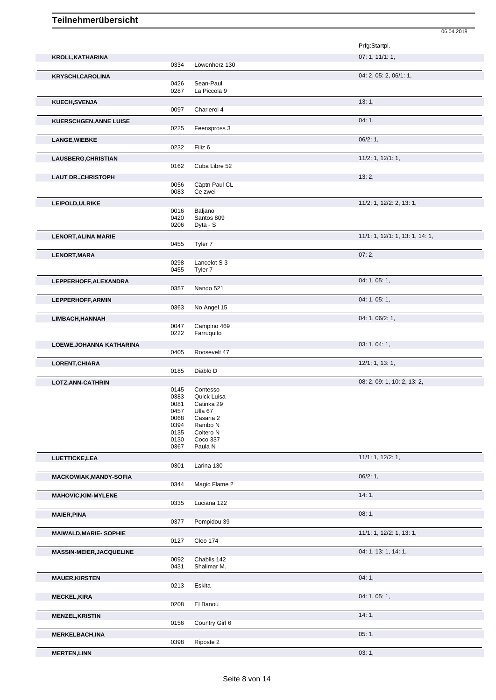|                                 |              |                                 | 06.04.2018                      |
|---------------------------------|--------------|---------------------------------|---------------------------------|
|                                 |              |                                 | Prfg:Startpl.                   |
|                                 |              |                                 |                                 |
| <b>KROLL, KATHARINA</b>         | 0334         | Löwenherz 130                   | 07: 1, 11/1: 1,                 |
|                                 |              |                                 |                                 |
| <b>KRYSCHI,CAROLINA</b>         |              |                                 | 04: 2, 05: 2, 06/1: 1,          |
|                                 | 0426<br>0287 | Sean-Paul<br>La Piccola 9       |                                 |
|                                 |              |                                 |                                 |
| KUECH, SVENJA                   |              |                                 | 13:1,                           |
|                                 | 0097         | Charleroi 4                     |                                 |
| <b>KUERSCHGEN, ANNE LUISE</b>   |              |                                 | 04:1,                           |
|                                 | 0225         | Feenspross 3                    |                                 |
| <b>LANGE, WIEBKE</b>            |              |                                 | 06/2:1,                         |
|                                 | 0232         | Filiz <sub>6</sub>              |                                 |
| LAUSBERG, CHRISTIAN             |              |                                 | 11/2: 1, 12/1: 1,               |
|                                 | 0162         | Cuba Libre 52                   |                                 |
| <b>LAUT DR., CHRISTOPH</b>      |              |                                 | 13:2,                           |
|                                 | 0056         | Cäptn Paul CL                   |                                 |
|                                 | 0083         | Ce zwei                         |                                 |
|                                 |              |                                 | 11/2: 1, 12/2: 2, 13: 1,        |
| LEIPOLD, ULRIKE                 | 0016         | Baljano                         |                                 |
|                                 | 0420         | Santos 809                      |                                 |
|                                 | 0206         | Dyta - S                        |                                 |
| <b>LENORT, ALINA MARIE</b>      |              |                                 | 11/1: 1, 12/1: 1, 13: 1, 14: 1, |
|                                 | 0455         | Tyler 7                         |                                 |
|                                 |              |                                 |                                 |
| LENORT, MARA                    | 0298         | Lancelot S 3                    | 07:2,                           |
|                                 | 0455         | Tyler 7                         |                                 |
|                                 |              |                                 |                                 |
| LEPPERHOFF, ALEXANDRA           | 0357         | Nando 521                       | 04: 1, 05: 1,                   |
|                                 |              |                                 |                                 |
| LEPPERHOFF, ARMIN               |              |                                 | 04: 1, 05: 1,                   |
|                                 | 0363         | No Angel 15                     |                                 |
| LIMBACH, HANNAH                 |              |                                 | 04: 1, 06/2: 1,                 |
|                                 | 0047         | Campino 469                     |                                 |
|                                 | 0222         | Farruquito                      |                                 |
| LOEWE, JOHANNA KATHARINA        |              |                                 | 03: 1, 04: 1,                   |
|                                 | 0405         | Roosevelt 47                    |                                 |
| LORENT, CHIARA                  |              |                                 | 12/1: 1, 13: 1,                 |
|                                 | 0185         | Diablo D                        |                                 |
| LOTZ, ANN-CATHRIN               |              |                                 | 08: 2, 09: 1, 10: 2, 13: 2,     |
|                                 | 0145         | Contesso                        |                                 |
|                                 | 0383         | Quick Luisa                     |                                 |
|                                 | 0081         | Catinka 29                      |                                 |
|                                 | 0457         | Ulla 67                         |                                 |
|                                 | 0068         | Casaria 2                       |                                 |
|                                 | 0394<br>0135 | Rambo <sub>N</sub><br>Coltero N |                                 |
|                                 | 0130         | Coco 337                        |                                 |
|                                 | 0367         | Paula N                         |                                 |
| LUETTICKE, LEA                  |              |                                 | 11/1: 1, 12/2: 1,               |
|                                 | 0301         | Larina 130                      |                                 |
|                                 |              |                                 | 06/2:1,                         |
| <b>MACKOWIAK, MANDY-SOFIA</b>   | 0344         | Magic Flame 2                   |                                 |
|                                 |              |                                 |                                 |
| MAHOVIC, KIM-MYLENE             |              |                                 | 14:1,                           |
|                                 | 0335         | Luciana 122                     |                                 |
| <b>MAIER, PINA</b>              |              |                                 | 08:1,                           |
|                                 | 0377         | Pompidou 39                     |                                 |
| <b>MAIWALD, MARIE- SOPHIE</b>   |              |                                 | 11/1: 1, 12/2: 1, 13: 1,        |
|                                 | 0127         | Cleo 174                        |                                 |
| <b>MASSIN-MEIER, JACQUELINE</b> |              |                                 | 04: 1, 13: 1, 14: 1,            |
|                                 | 0092         | Chablis 142                     |                                 |
|                                 | 0431         | Shalimar M.                     |                                 |
|                                 |              |                                 | 04:1,                           |
| <b>MAUER, KIRSTEN</b>           | 0213         | Eskita                          |                                 |
|                                 |              |                                 |                                 |
| <b>MECKEL, KIRA</b>             |              |                                 | 04: 1, 05: 1,                   |
|                                 | 0208         | El Banou                        |                                 |
| <b>MENZEL, KRISTIN</b>          |              |                                 | 14:1,                           |
|                                 | 0156         | Country Girl 6                  |                                 |
| <b>MERKELBACH, INA</b>          |              |                                 | 05:1,                           |
|                                 | 0398         | Riposte 2                       |                                 |
|                                 |              |                                 |                                 |

**MERTEN,LINN** 03: 1,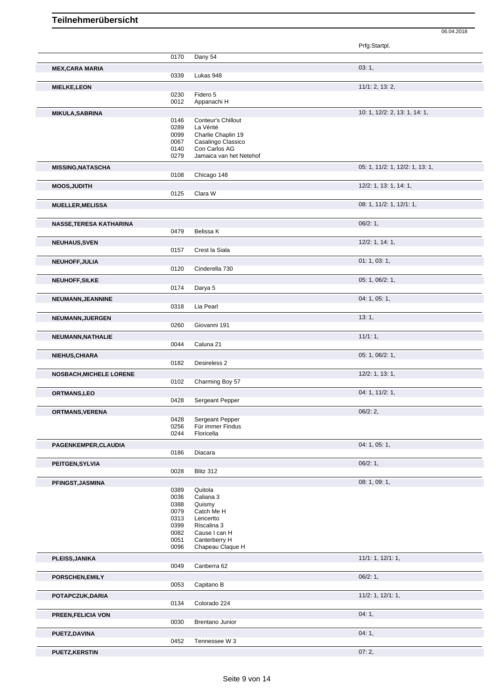|                                |              |                                          | Prfg:Startpl.                   |
|--------------------------------|--------------|------------------------------------------|---------------------------------|
|                                | 0170         | Dany 54                                  |                                 |
| <b>MEX, CARA MARIA</b>         |              |                                          | 03:1,                           |
|                                | 0339         | Lukas 948                                |                                 |
| <b>MIELKE,LEON</b>             |              |                                          | 11/1: 2, 13: 2,                 |
|                                | 0230         | Fidero 5                                 |                                 |
|                                | 0012         | Appanachi H                              |                                 |
| <b>MIKULA, SABRINA</b>         |              |                                          | 10: 1, 12/2: 2, 13: 1, 14: 1,   |
|                                | 0146         | Conteur's Chillout                       |                                 |
|                                | 0289         | La Vérité                                |                                 |
|                                | 0099         | Charlie Chaplin 19                       |                                 |
|                                | 0067         | Casalingo Classico                       |                                 |
|                                | 0140<br>0279 | Con Carlos AG<br>Jamaica van het Netehof |                                 |
|                                |              |                                          |                                 |
| <b>MISSING, NATASCHA</b>       |              |                                          | 05: 1, 11/2: 1, 12/2: 1, 13: 1, |
|                                | 0108         | Chicago 148                              |                                 |
| <b>MOOS, JUDITH</b>            |              |                                          | 12/2: 1, 13: 1, 14: 1,          |
|                                | 0125         | Clara W                                  |                                 |
| <b>MUELLER, MELISSA</b>        |              |                                          | 08: 1, 11/2: 1, 12/1: 1,        |
|                                |              |                                          |                                 |
| <b>NASSE, TERESA KATHARINA</b> |              |                                          | 06/2:1,                         |
|                                | 0479         | Belissa K                                |                                 |
|                                |              |                                          | $12/2$ : 1, 14: 1,              |
| <b>NEUHAUS, SVEN</b>           | 0157         | Crest la Siala                           |                                 |
|                                |              |                                          |                                 |
| NEUHOFF, JULIA                 |              |                                          | 01: 1, 03: 1,                   |
|                                | 0120         | Cinderella 730                           |                                 |
| <b>NEUHOFF, SILKE</b>          |              |                                          | 05: 1, 06/2: 1,                 |
|                                | 0174         | Darya 5                                  |                                 |
| NEUMANN, JEANNINE              |              |                                          | 04: 1, 05: 1,                   |
|                                | 0318         | Lia Pearl                                |                                 |
| NEUMANN, JUERGEN               |              |                                          | 13:1,                           |
|                                | 0260         | Giovanni 191                             |                                 |
| NEUMANN, NATHALIE              |              |                                          | 11/1:1,                         |
|                                | 0044         | Caluna 21                                |                                 |
|                                |              |                                          |                                 |
| NIEHUS, CHIARA                 | 0182         | Desireless 2                             | 05: 1, 06/2: 1,                 |
|                                |              |                                          |                                 |
| <b>NOSBACH, MICHELE LORENE</b> |              |                                          | $12/2$ : 1, 13: 1,              |
|                                | 0102         | Charming Boy 57                          |                                 |
| ORTMANS,LEO                    |              |                                          | 04: 1, 11/2: 1,                 |
|                                | 0428         | Sergeant Pepper                          |                                 |
| ORTMANS, VERENA                |              |                                          | 06/2:2                          |
|                                | 0428         | Sergeant Pepper                          |                                 |
|                                | 0256         | Für immer Findus                         |                                 |
|                                | 0244         | Floricella                               |                                 |
| PAGENKEMPER, CLAUDIA           |              |                                          | 04: 1, 05: 1,                   |
|                                | 0186         | Diacara                                  |                                 |
| PEITGEN, SYLVIA                |              |                                          | 06/2:1,                         |
|                                | 0028         | Blitz 312                                |                                 |
| PFINGST, JASMINA               |              |                                          | 08: 1, 09: 1,                   |
|                                | 0389         | Quitola                                  |                                 |
|                                | 0036         | Caliana 3                                |                                 |
|                                | 0388         | Quismy                                   |                                 |
|                                | 0079         | Catch Me H                               |                                 |
|                                | 0313<br>0399 | Lencertto<br>Riscalina 3                 |                                 |
|                                | 0082         | Cause I can H                            |                                 |
|                                | 0051         | Canterberry H                            |                                 |
|                                | 0096         | Chapeau Claque H                         |                                 |
| PLEISS, JANIKA                 |              |                                          | 11/1: 1, 12/1: 1,               |
|                                | 0049         | Canberra 62                              |                                 |
| PORSCHEN, EMILY                |              |                                          | 06/2:1,                         |
|                                | 0053         | Capitano B                               |                                 |
|                                |              |                                          |                                 |
| POTAPCZUK, DARIA               | 0134         | Colorado 224                             | $11/2$ : 1, $12/1$ : 1,         |
|                                |              |                                          |                                 |
| PREEN, FELICIA VON             |              |                                          | 04:1,                           |
|                                | 0030         | Brentano Junior                          |                                 |
| PUETZ, DAVINA                  |              |                                          | 04:1,                           |
|                                | 0452         | Tennessee W 3                            |                                 |
| <b>PUETZ, KERSTIN</b>          |              |                                          | 07:2,                           |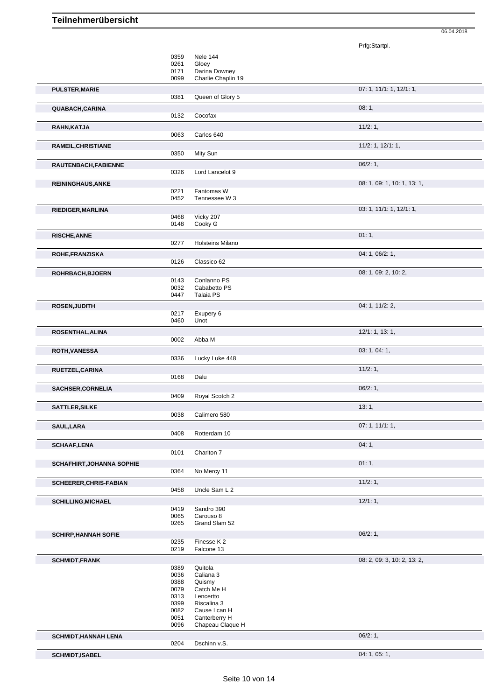Prfg:Startpl. 0359 Nele 144 0261 Gloey 0171 Darina Downey 0099 Charlie Chaplin 19 **PULSTER,MARIE** 07: 1, 11/1: 1, 12/1: 1, 0381 Queen of Glory 5 **QUABACH,CARINA** 08: 1, 08: 1, 08: 1, 08: 1, 08: 1, 08: 1, 08: 1, 08: 1, 08: 1, 08: 1, 08: 1, 08: 1, 08: 1, 08: 1, 08: 1, 08: 1, 08: 1, 08: 1, 08: 1, 08: 1, 08: 1, 08: 1, 08: 1, 08: 1, 08: 1, 08: 1, 08: 1, 08: 1, 08: 0, 08 0132 Cocofax **RAHN,KATJA** 11/2: 1, 0063 Carlos 640 **RAMEIL, CHRISTIANE** 11/2: 1, 12/1: 1, 0350 Mity Sun **RAUTENBACH,FABIENNE** 06/2: 1, 0326 Lord Lancelot 9 **REININGHAUS,ANKE** 08: 1, 09: 1, 10: 1, 13: 1, 0221 Fantomas W<br>0452 Tennessee V Tennessee W 3 **RIEDIGER,MARLINA** 03: 1, 11/1: 1, 12/1: 1, 0468 Vicky 207<br>0148 Cooky G Cooky G **RISCHE,ANNE** 01: 1, 0277 Holsteins Milano **ROHE,FRANZISKA** 04: 1, 06/2: 1, 06/2: 1, 06/2: 1, 06/2: 1, 06/2: 1, 06/2: 1, 06/2: 1, 06/2: 1, 06/2: 1, 06/2: 1, 06/2: 1, 06/2: 1, 06/2: 1, 06/2: 1, 06/2: 1, 06/2: 1, 06/2: 1, 06/2: 1, 06/2: 1, 06/2: 1, 07/26 0126 0126 01 Classico 62 **ROHRBACH,BJOERN** 08: 1, 09: 2, 10: 2, 10: 2, 10: 2, 10: 2, 10: 2, 10: 2, 10: 2, 10: 2, 10: 2, 10: 2, 10: 2, 10: 2, 10: 2, 10: 2, 10: 2, 10: 2, 10: 2, 10: 2, 10: 2, 10: 2, 10: 2, 10: 2, 10: 2, 10: 2, 10: 2, 10: 2, 10: 2, 1 Conlanno PS 0032 Cababetto PS<br>0447 Talaia PS Talaia PS **ROSEN, JUDITH** 0217 **Exipery 6** 04: 1, 11/2: 2, Exupery 6 0460 Unot **ROSENTHAL,ALINA** 12/1: 1, 13: 1, 0002 Abba M **ROTH,VANESSA** 03: 1, 04: 1, 0336 Lucky Luke 448 **RUETZEL,CARINA** 11/2: 1, 0168 Dalu **SACHSER, CORNELIA** 06/2: 1, 0409 Royal Scotch 2 **SATTLER,SILKE** 13: 1, 0038 Calimero 580 **SAUL,LARA** 07: 1, 11/1: 1, 0408 Rotterdam 10 **SCHAAF,LENA** 04: 1, Charlton 7 **SCHAFHIRT,JOHANNA SOPHIE** 0364 No Mercy 11 **1.1, 1.4 and 2012** 1.1, 00:11 No Mercy 11 **SCHEERER, CHRIS-FABIAN** 11/2: 1,<br>0458 Uncle Sam L 2 Uncle Sam L 2 **SCHILLING, MICHAEL** 12/1: 1, 2019 **Sandro 390** 0419 Sandro 390<br>0065 Carouso 8 0065 Carouso 8<br>0265 Grand Slar Grand Slam 52 **SCHIRP,HANNAH SOFIE** 0235 Finesse K 2<br>0235 Finesse K 2 0235 Finesse K 2 Falcone 13 **SCHMIDT,FRANK** 08: 2, 09: 3, 10: 2, 13: 2, 0389 Quitola 0036 Caliana 3<br>0388 Quismy 0388 Quismy<br>0079 Catch M Catch Me H 0313 Lencertto 0399 Riscalina 3 0082 Cause I can H 0051 Canterberry H<br>0096 Chapeau Claq Chapeau Claque H **SCHMIDT,HANNAH LENA** 0204 Dschinn v.S. 06/2: 1, Dschinn v.S.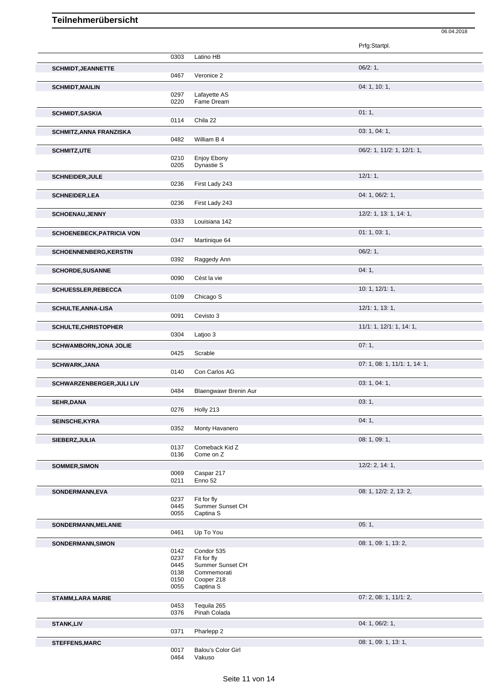|                                  |              |                               | Prfg:Startpl.                 |
|----------------------------------|--------------|-------------------------------|-------------------------------|
|                                  | 0303         | Latino HB                     |                               |
| <b>SCHMIDT, JEANNETTE</b>        |              |                               | 06/2:1,                       |
|                                  | 0467         | Veronice 2                    |                               |
| <b>SCHMIDT, MAILIN</b>           |              |                               | 04: 1, 10: 1,                 |
|                                  | 0297         | Lafayette AS                  |                               |
|                                  | 0220         | Fame Dream                    |                               |
| <b>SCHMIDT, SASKIA</b>           |              |                               | 01:1,                         |
|                                  | 0114         | Chila 22                      |                               |
| <b>SCHMITZ, ANNA FRANZISKA</b>   |              |                               | 03: 1, 04: 1,                 |
|                                  | 0482         | William B 4                   |                               |
| <b>SCHMITZ,UTE</b>               |              |                               | 06/2: 1, 11/2: 1, 12/1: 1,    |
|                                  | 0210         | Enjoy Ebony                   |                               |
|                                  | 0205         | Dynastie S                    |                               |
| <b>SCHNEIDER, JULE</b>           |              |                               | 12/1:1,                       |
|                                  | 0236         | First Lady 243                |                               |
| <b>SCHNEIDER, LEA</b>            |              |                               | 04: 1, 06/2: 1,               |
|                                  | 0236         | First Lady 243                |                               |
| <b>SCHOENAU, JENNY</b>           |              |                               | 12/2: 1, 13: 1, 14: 1,        |
|                                  | 0333         | Louisiana 142                 |                               |
| <b>SCHOENEBECK, PATRICIA VON</b> |              |                               | 01: 1, 03: 1,                 |
|                                  | 0347         | Martinique 64                 |                               |
| <b>SCHOENNENBERG, KERSTIN</b>    |              |                               | 06/2:1,                       |
|                                  | 0392         | Raggedy Ann                   |                               |
| <b>SCHORDE, SUSANNE</b>          |              |                               | 04:1,                         |
|                                  | 0090         | Cést la vie                   |                               |
| <b>SCHUESSLER, REBECCA</b>       |              |                               | 10: 1, 12/1: 1,               |
|                                  | 0109         | Chicago S                     |                               |
| <b>SCHULTE, ANNA-LISA</b>        |              |                               | 12/1: 1, 13: 1,               |
|                                  | 0091         | Cevisto 3                     |                               |
| <b>SCHULTE, CHRISTOPHER</b>      |              |                               | 11/1: 1, 12/1: 1, 14: 1,      |
|                                  | 0304         | Latjoo 3                      |                               |
| <b>SCHWAMBORN, JONA JOLIE</b>    |              |                               | 07:1,                         |
|                                  | 0425         | Scrable                       |                               |
| <b>SCHWARK, JANA</b>             |              |                               | 07: 1, 08: 1, 11/1: 1, 14: 1, |
|                                  | 0140         | Con Carlos AG                 |                               |
| <b>SCHWARZENBERGER, JULI LIV</b> |              |                               | 03: 1, 04: 1,                 |
|                                  | 0484         | Blaengwawr Brenin Aur         |                               |
| <b>SEHR, DANA</b>                |              |                               | 03:1,                         |
|                                  | 0276         | Holly 213                     |                               |
| SEINSCHE, KYRA                   |              |                               | 04:1,                         |
|                                  | 0352         | Monty Havanero                |                               |
| SIEBERZ, JULIA                   |              |                               | 08: 1, 09: 1,                 |
|                                  | 0137<br>0136 | Comeback Kid Z<br>Come on Z   |                               |
| <b>SOMMER, SIMON</b>             |              |                               | $12/2$ : 2, 14: 1,            |
|                                  | 0069         | Caspar 217                    |                               |
|                                  | 0211         | Enno 52                       |                               |
| SONDERMANN, EVA                  |              |                               | 08: 1, 12/2: 2, 13: 2,        |
|                                  | 0237         | Fit for fly                   |                               |
|                                  | 0445<br>0055 | Summer Sunset CH<br>Captina S |                               |
|                                  |              |                               |                               |
| SONDERMANN, MELANIE              | 0461         | Up To You                     | 05:1,                         |
|                                  |              |                               |                               |
| SONDERMANN, SIMON                | 0142         | Condor 535                    | 08: 1, 09: 1, 13: 2,          |
|                                  | 0237         | Fit for fly                   |                               |
|                                  | 0445         | Summer Sunset CH              |                               |
|                                  | 0138<br>0150 | Commemorati<br>Cooper 218     |                               |
|                                  | 0055         | Captina S                     |                               |
| <b>STAMM,LARA MARIE</b>          |              |                               | 07: 2, 08: 1, 11/1: 2,        |
|                                  | 0453         | Tequila 265                   |                               |
|                                  | 0376         | Pinah Colada                  |                               |
| <b>STANK,LIV</b>                 |              |                               | 04: 1, 06/2: 1,               |
|                                  | 0371         | Pharlepp 2                    |                               |
| <b>STEFFENS, MARC</b>            |              |                               | 08: 1, 09: 1, 13: 1,          |
|                                  | 0017         | Balou's Color Girl            |                               |

06.04.2018

0017 Balou's Color Girl<br>0464 Vakuso Vakuso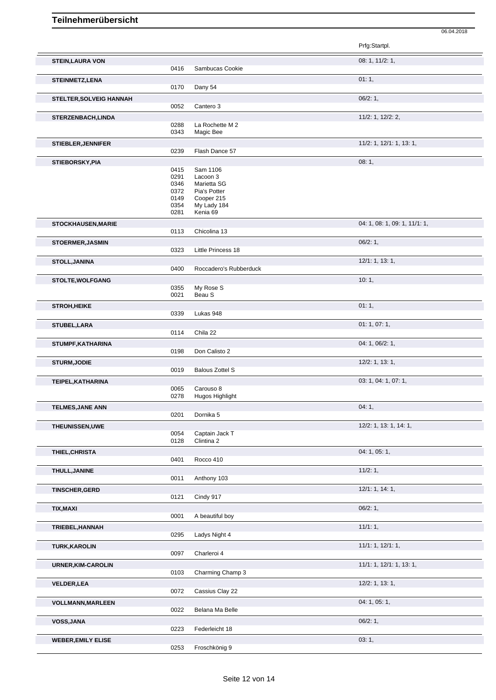|                                |                                      |                                                                   | Prfg:Startpl.                 |
|--------------------------------|--------------------------------------|-------------------------------------------------------------------|-------------------------------|
| <b>STEIN, LAURA VON</b>        | 0416                                 | Sambucas Cookie                                                   | 08: 1, 11/2: 1,               |
| <b>STEINMETZ,LENA</b>          | 0170                                 | Dany 54                                                           | 01:1,                         |
| <b>STELTER, SOLVEIG HANNAH</b> |                                      |                                                                   | $06/2:1$ ,                    |
|                                | 0052                                 | Cantero 3                                                         | 11/2: 1, 12/2: 2,             |
| <b>STERZENBACH,LINDA</b>       | 0288<br>0343                         | La Rochette M 2<br>Magic Bee                                      |                               |
| <b>STIEBLER, JENNIFER</b>      | 0239                                 | Flash Dance 57                                                    | 11/2: 1, 12/1: 1, 13: 1,      |
| STIEBORSKY, PIA                |                                      |                                                                   | 08:1,                         |
|                                | 0415<br>0291<br>0346<br>0372<br>0149 | Sam 1106<br>Lacoon 3<br>Marietta SG<br>Pia's Potter<br>Cooper 215 |                               |
|                                | 0354<br>0281                         | My Lady 184<br>Kenia 69                                           |                               |
| <b>STOCKHAUSEN, MARIE</b>      | 0113                                 | Chicolina 13                                                      | 04: 1, 08: 1, 09: 1, 11/1: 1, |
| <b>STOERMER, JASMIN</b>        |                                      |                                                                   | 06/2:1,                       |
|                                | 0323                                 | Little Princess 18                                                | 12/1: 1, 13: 1,               |
| STOLL, JANINA                  | 0400                                 | Roccadero's Rubberduck                                            |                               |
| <b>STOLTE, WOLFGANG</b>        | 0355<br>0021                         | My Rose S<br>Beau S                                               | 10:1,                         |
| <b>STROH,HEIKE</b>             |                                      |                                                                   | 01:1,                         |
|                                | 0339                                 | Lukas 948                                                         | 01: 1, 07: 1,                 |
| STUBEL,LARA                    | 0114                                 | Chila 22                                                          |                               |
| STUMPF, KATHARINA              | 0198                                 | Don Calisto 2                                                     | 04: 1, 06/2: 1,               |
| <b>STURM, JODIE</b>            | 0019                                 | <b>Balous Zottel S</b>                                            | 12/2: 1, 13: 1,               |
| TEIPEL, KATHARINA              | 0065<br>0278                         | Carouso 8<br>Hugos Highlight                                      | 03: 1, 04: 1, 07: 1,          |
| <b>TELMES, JANE ANN</b>        | 0201                                 | Dornika 5                                                         | 04:1,                         |
| THEUNISSEN, UWE                | 0054<br>0128                         | Captain Jack T<br>Clintina 2                                      | 12/2: 1, 13: 1, 14: 1,        |
| THIEL, CHRISTA                 | 0401                                 | Rocco 410                                                         | 04: 1, 05: 1,                 |
| THULL, JANINE                  |                                      |                                                                   | 11/2:1,                       |
|                                | 0011                                 | Anthony 103                                                       |                               |
| <b>TINSCHER, GERD</b>          | 0121                                 | Cindy 917                                                         | 12/1: 1, 14: 1,               |
| TIX, MAXI                      | 0001                                 | A beautiful boy                                                   | 06/2:1,                       |
| TRIEBEL, HANNAH                |                                      |                                                                   | 11/1:1,                       |
|                                | 0295                                 | Ladys Night 4                                                     |                               |
| <b>TURK, KAROLIN</b>           | 0097                                 | Charleroi 4                                                       | 11/1: 1, 12/1: 1,             |
| URNER, KIM-CAROLIN             | 0103                                 | Charming Champ 3                                                  | 11/1: 1, 12/1: 1, 13: 1,      |
| <b>VELDER, LEA</b>             | 0072                                 | Cassius Clay 22                                                   | 12/2: 1, 13: 1,               |
| <b>VOLLMANN, MARLEEN</b>       | 0022                                 | Belana Ma Belle                                                   | 04: 1, 05: 1,                 |
| <b>VOSS, JANA</b>              | 0223                                 | Federleicht 18                                                    | 06/2:1,                       |
| <b>WEBER, EMILY ELISE</b>      | 0253                                 | Froschkönig 9                                                     | 03:1,                         |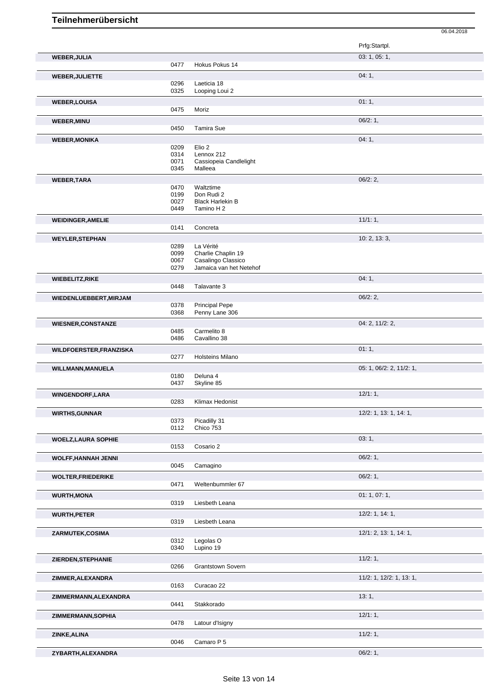|                                |              |                                       | Prfg:Startpl.            |
|--------------------------------|--------------|---------------------------------------|--------------------------|
| <b>WEBER, JULIA</b>            | 0477         | Hokus Pokus 14                        | 03: 1, 05: 1,            |
| <b>WEBER, JULIETTE</b>         |              |                                       | 04:1,                    |
|                                | 0296         | Laeticia 18                           |                          |
|                                | 0325         | Looping Loui 2                        |                          |
| <b>WEBER, LOUISA</b>           |              |                                       | 01:1,                    |
|                                | 0475         | Moriz                                 |                          |
| <b>WEBER, MINU</b>             | 0450         | <b>Tamira Sue</b>                     | 06/2:1,                  |
| <b>WEBER, MONIKA</b>           |              |                                       | 04:1,                    |
|                                | 0209         | Elio 2                                |                          |
|                                | 0314         | Lennox 212                            |                          |
|                                | 0071<br>0345 | Cassiopeia Candlelight<br>Malleea     |                          |
| <b>WEBER, TARA</b>             |              |                                       | 06/2:2,                  |
|                                | 0470         | Waltztime                             |                          |
|                                | 0199<br>0027 | Don Rudi 2<br><b>Black Harlekin B</b> |                          |
|                                | 0449         | Tamino H 2                            |                          |
| <b>WEIDINGER, AMELIE</b>       |              |                                       | $11/1:1$ ,               |
|                                | 0141         | Concreta                              |                          |
| <b>WEYLER, STEPHAN</b>         |              |                                       | 10: 2, 13: 3,            |
|                                | 0289<br>0099 | La Vérité<br>Charlie Chaplin 19       |                          |
|                                | 0067         | Casalingo Classico                    |                          |
|                                | 0279         | Jamaica van het Netehof               |                          |
| <b>WIEBELITZ, RIKE</b>         | 0448         | Talavante 3                           | 04:1,                    |
|                                |              |                                       | 06/2:2,                  |
| WIEDENLUEBBERT, MIRJAM         | 0378         | <b>Principal Pepe</b>                 |                          |
|                                | 0368         | Penny Lane 306                        |                          |
| <b>WIESNER, CONSTANZE</b>      |              |                                       | 04: 2, 11/2: 2,          |
|                                | 0485<br>0486 | Carmelito 8<br>Cavallino 38           |                          |
| <b>WILDFOERSTER, FRANZISKA</b> |              |                                       | 01:1,                    |
|                                | 0277         | <b>Holsteins Milano</b>               |                          |
| WILLMANN, MANUELA              |              |                                       | 05: 1, 06/2: 2, 11/2: 1, |
|                                | 0180<br>0437 | Deluna 4                              |                          |
|                                |              | Skyline 85                            |                          |
| <b>WINGENDORF,LARA</b>         | 0283         | Klimax Hedonist                       | 12/1:1,                  |
| <b>WIRTHS, GUNNAR</b>          |              |                                       | 12/2: 1, 13: 1, 14: 1,   |
|                                | 0373         | Picadilly 31                          |                          |
|                                | 0112         | Chico 753                             |                          |
| <b>WOELZ, LAURA SOPHIE</b>     | 0153         | Cosario 2                             | 03:1,                    |
|                                |              |                                       | 06/2:1,                  |
| <b>WOLFF, HANNAH JENNI</b>     | 0045         | Camagino                              |                          |
| <b>WOLTER, FRIEDERIKE</b>      |              |                                       | 06/2:1,                  |
|                                | 0471         | Weltenbummler 67                      |                          |
| <b>WURTH, MONA</b>             |              |                                       | 01: 1, 07: 1,            |
|                                | 0319         | Liesbeth Leana                        |                          |
| <b>WURTH, PETER</b>            |              |                                       | 12/2: 1, 14: 1,          |
|                                | 0319         | Liesbeth Leana                        |                          |
| ZARMUTEK, COSIMA               | 0312         | Legolas <sub>O</sub>                  | 12/1: 2, 13: 1, 14: 1,   |
|                                | 0340         | Lupino 19                             |                          |
| ZIERDEN, STEPHANIE             |              |                                       | 11/2:1,                  |
|                                | 0266         | <b>Grantstown Sovern</b>              |                          |
| ZIMMER, ALEXANDRA              |              |                                       | 11/2: 1, 12/2: 1, 13: 1, |
|                                | 0163         | Curacao 22                            |                          |
| ZIMMERMANN, ALEXANDRA          | 0441         | Stakkorado                            | 13:1,                    |
| ZIMMERMANN, SOPHIA             |              |                                       | 12/1:1,                  |
|                                | 0478         | Latour d'Isigny                       |                          |
| ZINKE, ALINA                   |              |                                       | 11/2:1,                  |
|                                | 0046         | Camaro P 5                            |                          |
| ZYBARTH, ALEXANDRA             |              |                                       | 06/2:1,                  |